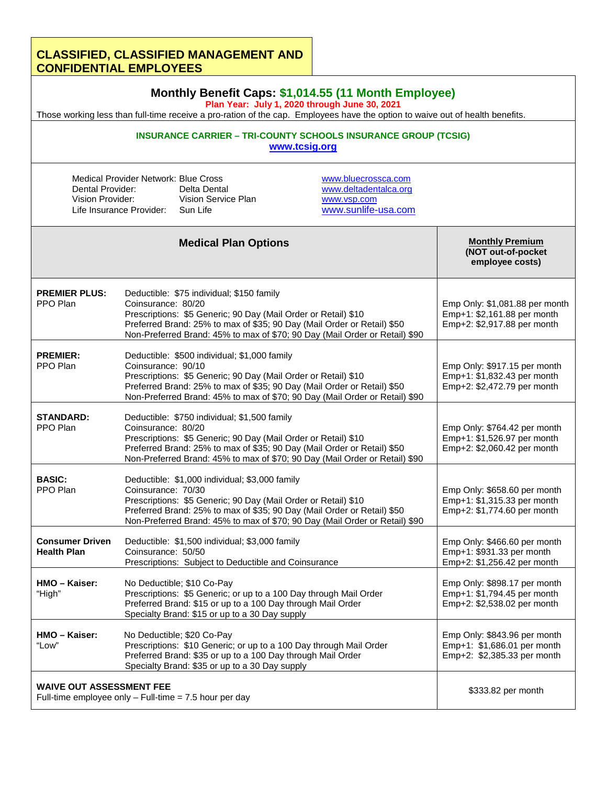## **CLASSIFIED, CLASSIFIED MANAGEMENT AND CONFIDENTIAL EMPLOYEES**

| Monthly Benefit Caps: \$1,014.55 (11 Month Employee)<br>Plan Year: July 1, 2020 through June 30, 2021<br>Those working less than full-time receive a pro-ration of the cap. Employees have the option to waive out of health benefits.<br><b>INSURANCE CARRIER - TRI-COUNTY SCHOOLS INSURANCE GROUP (TCSIG)</b><br>www.tcsig.org |                                                                                                                                                                                                                                                                                                  |                                                                                                                                                                                                                   |                                                                                            |                                                                                              |  |
|----------------------------------------------------------------------------------------------------------------------------------------------------------------------------------------------------------------------------------------------------------------------------------------------------------------------------------|--------------------------------------------------------------------------------------------------------------------------------------------------------------------------------------------------------------------------------------------------------------------------------------------------|-------------------------------------------------------------------------------------------------------------------------------------------------------------------------------------------------------------------|--------------------------------------------------------------------------------------------|----------------------------------------------------------------------------------------------|--|
|                                                                                                                                                                                                                                                                                                                                  |                                                                                                                                                                                                                                                                                                  |                                                                                                                                                                                                                   |                                                                                            |                                                                                              |  |
|                                                                                                                                                                                                                                                                                                                                  |                                                                                                                                                                                                                                                                                                  | <b>Medical Plan Options</b>                                                                                                                                                                                       |                                                                                            | <b>Monthly Premium</b><br>(NOT out-of-pocket<br>employee costs)                              |  |
| <b>PREMIER PLUS:</b><br>PPO Plan                                                                                                                                                                                                                                                                                                 | Coinsurance: 80/20                                                                                                                                                                                                                                                                               | Deductible: \$75 individual; \$150 family<br>Prescriptions: \$5 Generic; 90 Day (Mail Order or Retail) \$10<br>Preferred Brand: 25% to max of \$35; 90 Day (Mail Order or Retail) \$50                            | Non-Preferred Brand: 45% to max of \$70; 90 Day (Mail Order or Retail) \$90                | Emp Only: \$1,081.88 per month<br>Emp+1: \$2,161.88 per month<br>Emp+2: \$2,917.88 per month |  |
| <b>PREMIER:</b><br>PPO Plan                                                                                                                                                                                                                                                                                                      | Deductible: \$500 individual; \$1,000 family<br>Coinsurance: 90/10<br>Prescriptions: \$5 Generic; 90 Day (Mail Order or Retail) \$10<br>Preferred Brand: 25% to max of \$35; 90 Day (Mail Order or Retail) \$50<br>Non-Preferred Brand: 45% to max of \$70; 90 Day (Mail Order or Retail) \$90   |                                                                                                                                                                                                                   |                                                                                            | Emp Only: \$917.15 per month<br>Emp+1: \$1,832.43 per month<br>Emp+2: \$2,472.79 per month   |  |
| <b>STANDARD:</b><br>PPO Plan                                                                                                                                                                                                                                                                                                     | Coinsurance: 80/20                                                                                                                                                                                                                                                                               | Deductible: \$750 individual; \$1,500 family<br>Prescriptions: \$5 Generic; 90 Day (Mail Order or Retail) \$10<br>Preferred Brand: 25% to max of \$35; 90 Day (Mail Order or Retail) \$50                         | Non-Preferred Brand: 45% to max of \$70; 90 Day (Mail Order or Retail) \$90                | Emp Only: \$764.42 per month<br>Emp+1: \$1,526.97 per month<br>Emp+2: \$2,060.42 per month   |  |
| <b>BASIC:</b><br>PPO Plan                                                                                                                                                                                                                                                                                                        | Deductible: \$1,000 individual; \$3,000 family<br>Coinsurance: 70/30<br>Prescriptions: \$5 Generic; 90 Day (Mail Order or Retail) \$10<br>Preferred Brand: 25% to max of \$35; 90 Day (Mail Order or Retail) \$50<br>Non-Preferred Brand: 45% to max of \$70; 90 Day (Mail Order or Retail) \$90 |                                                                                                                                                                                                                   | Emp Only: \$658.60 per month<br>Emp+1: \$1,315.33 per month<br>Emp+2: \$1,774.60 per month |                                                                                              |  |
| <b>Consumer Driven</b><br><b>Health Plan</b>                                                                                                                                                                                                                                                                                     | Coinsurance: 50/50                                                                                                                                                                                                                                                                               | Deductible: \$1,500 individual; \$3,000 family<br>Prescriptions: Subject to Deductible and Coinsurance                                                                                                            |                                                                                            | Emp Only: \$466.60 per month<br>Emp+1: \$931.33 per month<br>Emp+2: \$1,256.42 per month     |  |
| HMO - Kaiser:<br>"High"                                                                                                                                                                                                                                                                                                          |                                                                                                                                                                                                                                                                                                  | No Deductible; \$10 Co-Pay<br>Prescriptions: \$5 Generic; or up to a 100 Day through Mail Order<br>Preferred Brand: \$15 or up to a 100 Day through Mail Order<br>Specialty Brand: \$15 or up to a 30 Day supply  |                                                                                            | Emp Only: \$898.17 per month<br>Emp+1: \$1,794.45 per month<br>Emp+2: \$2,538.02 per month   |  |
| HMO - Kaiser:<br>"Low"                                                                                                                                                                                                                                                                                                           |                                                                                                                                                                                                                                                                                                  | No Deductible; \$20 Co-Pay<br>Prescriptions: \$10 Generic; or up to a 100 Day through Mail Order<br>Preferred Brand: \$35 or up to a 100 Day through Mail Order<br>Specialty Brand: \$35 or up to a 30 Day supply |                                                                                            | Emp Only: \$843.96 per month<br>Emp+1: \$1,686.01 per month<br>Emp+2: \$2,385.33 per month   |  |
| <b>WAIVE OUT ASSESSMENT FEE</b><br>Full-time employee only $-$ Full-time = 7.5 hour per day                                                                                                                                                                                                                                      |                                                                                                                                                                                                                                                                                                  |                                                                                                                                                                                                                   |                                                                                            | \$333.82 per month                                                                           |  |